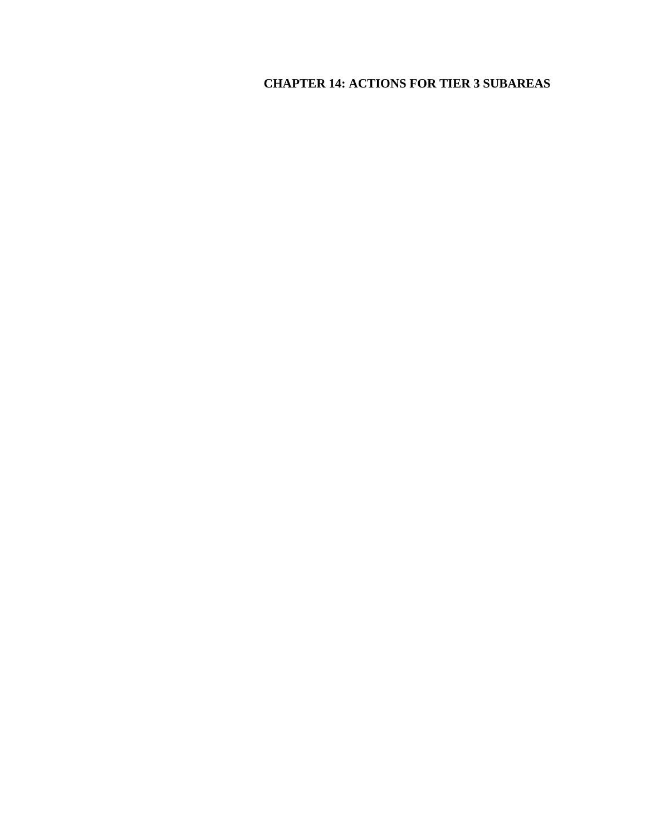# **CHAPTER 14: ACTIONS FOR TIER 3 SUBAREAS**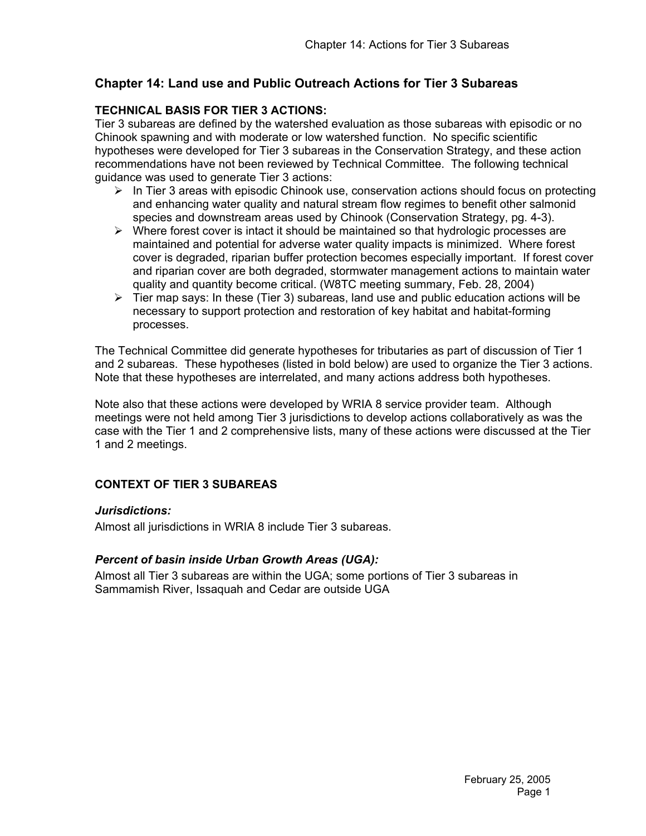# **Chapter 14: Land use and Public Outreach Actions for Tier 3 Subareas**

## **TECHNICAL BASIS FOR TIER 3 ACTIONS:**

Tier 3 subareas are defined by the watershed evaluation as those subareas with episodic or no Chinook spawning and with moderate or low watershed function. No specific scientific hypotheses were developed for Tier 3 subareas in the Conservation Strategy, and these action recommendations have not been reviewed by Technical Committee. The following technical guidance was used to generate Tier 3 actions:

- ¾ In Tier 3 areas with episodic Chinook use, conservation actions should focus on protecting and enhancing water quality and natural stream flow regimes to benefit other salmonid species and downstream areas used by Chinook (Conservation Strategy, pg. 4-3).
- $\triangleright$  Where forest cover is intact it should be maintained so that hydrologic processes are maintained and potential for adverse water quality impacts is minimized. Where forest cover is degraded, riparian buffer protection becomes especially important. If forest cover and riparian cover are both degraded, stormwater management actions to maintain water quality and quantity become critical. (W8TC meeting summary, Feb. 28, 2004)
- $\triangleright$  Tier map says: In these (Tier 3) subareas, land use and public education actions will be necessary to support protection and restoration of key habitat and habitat-forming processes.

The Technical Committee did generate hypotheses for tributaries as part of discussion of Tier 1 and 2 subareas. These hypotheses (listed in bold below) are used to organize the Tier 3 actions. Note that these hypotheses are interrelated, and many actions address both hypotheses.

Note also that these actions were developed by WRIA 8 service provider team. Although meetings were not held among Tier 3 jurisdictions to develop actions collaboratively as was the case with the Tier 1 and 2 comprehensive lists, many of these actions were discussed at the Tier 1 and 2 meetings.

#### **CONTEXT OF TIER 3 SUBAREAS**

#### *Jurisdictions:*

Almost all jurisdictions in WRIA 8 include Tier 3 subareas.

#### *Percent of basin inside Urban Growth Areas (UGA):*

Almost all Tier 3 subareas are within the UGA; some portions of Tier 3 subareas in Sammamish River, Issaquah and Cedar are outside UGA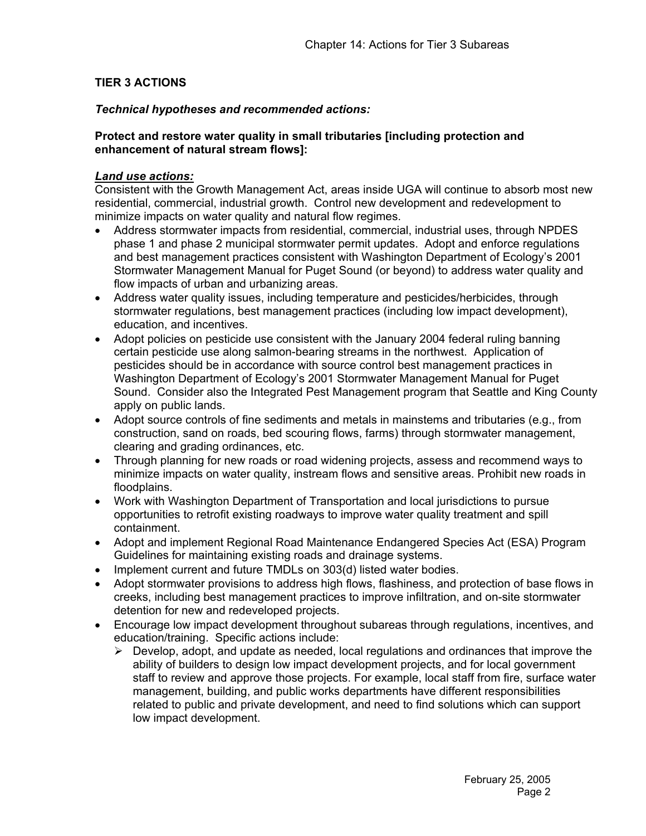## **TIER 3 ACTIONS**

#### *Technical hypotheses and recommended actions:*

#### **Protect and restore water quality in small tributaries [including protection and enhancement of natural stream flows]:**

#### *Land use actions:*

Consistent with the Growth Management Act, areas inside UGA will continue to absorb most new residential, commercial, industrial growth. Control new development and redevelopment to minimize impacts on water quality and natural flow regimes.

- Address stormwater impacts from residential, commercial, industrial uses, through NPDES phase 1 and phase 2 municipal stormwater permit updates. Adopt and enforce regulations and best management practices consistent with Washington Department of Ecology's 2001 Stormwater Management Manual for Puget Sound (or beyond) to address water quality and flow impacts of urban and urbanizing areas.
- Address water quality issues, including temperature and pesticides/herbicides, through stormwater regulations, best management practices (including low impact development), education, and incentives.
- Adopt policies on pesticide use consistent with the January 2004 federal ruling banning certain pesticide use along salmon-bearing streams in the northwest. Application of pesticides should be in accordance with source control best management practices in Washington Department of Ecology's 2001 Stormwater Management Manual for Puget Sound. Consider also the Integrated Pest Management program that Seattle and King County apply on public lands.
- Adopt source controls of fine sediments and metals in mainstems and tributaries (e.g., from construction, sand on roads, bed scouring flows, farms) through stormwater management, clearing and grading ordinances, etc.
- Through planning for new roads or road widening projects, assess and recommend ways to minimize impacts on water quality, instream flows and sensitive areas. Prohibit new roads in floodplains.
- Work with Washington Department of Transportation and local jurisdictions to pursue opportunities to retrofit existing roadways to improve water quality treatment and spill containment.
- Adopt and implement Regional Road Maintenance Endangered Species Act (ESA) Program Guidelines for maintaining existing roads and drainage systems.
- Implement current and future TMDLs on 303(d) listed water bodies.
- Adopt stormwater provisions to address high flows, flashiness, and protection of base flows in creeks, including best management practices to improve infiltration, and on-site stormwater detention for new and redeveloped projects.
- Encourage low impact development throughout subareas through regulations, incentives, and education/training. Specific actions include:
	- $\triangleright$  Develop, adopt, and update as needed, local regulations and ordinances that improve the ability of builders to design low impact development projects, and for local government staff to review and approve those projects. For example, local staff from fire, surface water management, building, and public works departments have different responsibilities related to public and private development, and need to find solutions which can support low impact development.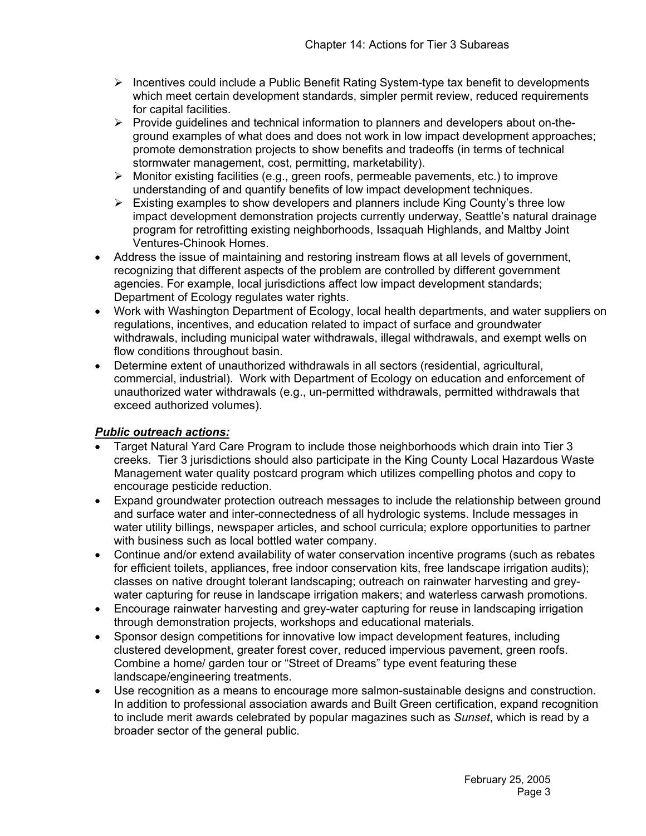- $\triangleright$  Incentives could include a Public Benefit Rating System-type tax benefit to developments which meet certain development standards, simpler permit review, reduced requirements for capital facilities.
- $\triangleright$  Provide guidelines and technical information to planners and developers about on-theground examples of what does and does not work in low impact development approaches; promote demonstration projects to show benefits and tradeoffs (in terms of technical stormwater management, cost, permitting, marketability).
- $\triangleright$  Monitor existing facilities (e.g., green roofs, permeable pavements, etc.) to improve understanding of and quantify benefits of low impact development techniques.
- $\triangleright$  Existing examples to show developers and planners include King County's three low impact development demonstration projects currently underway, Seattle's natural drainage program for retrofitting existing neighborhoods, Issaquah Highlands, and Maltby Joint Ventures-Chinook Homes.
- Address the issue of maintaining and restoring instream flows at all levels of government, recognizing that different aspects of the problem are controlled by different government agencies. For example, local jurisdictions affect low impact development standards; Department of Ecology regulates water rights.
- Work with Washington Department of Ecology, local health departments, and water suppliers on regulations, incentives, and education related to impact of surface and groundwater withdrawals, including municipal water withdrawals, illegal withdrawals, and exempt wells on flow conditions throughout basin.
- Determine extent of unauthorized withdrawals in all sectors (residential, agricultural, commercial, industrial). Work with Department of Ecology on education and enforcement of unauthorized water withdrawals (e.g., un-permitted withdrawals, permitted withdrawals that exceed authorized volumes).

# *Public outreach actions:*

- Target Natural Yard Care Program to include those neighborhoods which drain into Tier 3 creeks. Tier 3 jurisdictions should also participate in the King County Local Hazardous Waste Management water quality postcard program which utilizes compelling photos and copy to encourage pesticide reduction.
- Expand groundwater protection outreach messages to include the relationship between ground and surface water and inter-connectedness of all hydrologic systems. Include messages in water utility billings, newspaper articles, and school curricula; explore opportunities to partner with business such as local bottled water company.
- Continue and/or extend availability of water conservation incentive programs (such as rebates for efficient toilets, appliances, free indoor conservation kits, free landscape irrigation audits); classes on native drought tolerant landscaping; outreach on rainwater harvesting and greywater capturing for reuse in landscape irrigation makers; and waterless carwash promotions.
- Encourage rainwater harvesting and grey-water capturing for reuse in landscaping irrigation through demonstration projects, workshops and educational materials.
- Sponsor design competitions for innovative low impact development features, including clustered development, greater forest cover, reduced impervious pavement, green roofs. Combine a home/ garden tour or "Street of Dreams" type event featuring these landscape/engineering treatments.
- Use recognition as a means to encourage more salmon-sustainable designs and construction. In addition to professional association awards and Built Green certification, expand recognition to include merit awards celebrated by popular magazines such as *Sunset*, which is read by a broader sector of the general public.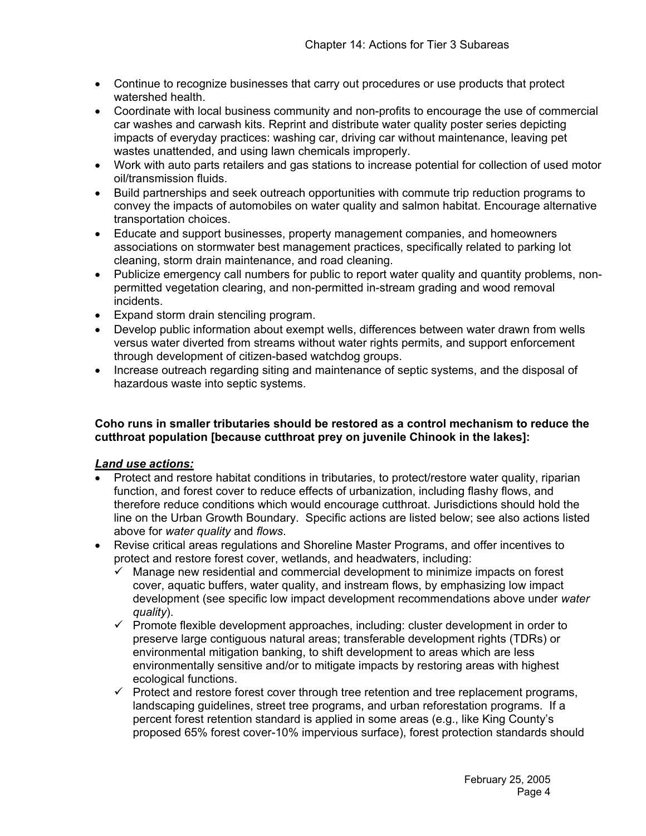- Continue to recognize businesses that carry out procedures or use products that protect watershed health.
- Coordinate with local business community and non-profits to encourage the use of commercial car washes and carwash kits. Reprint and distribute water quality poster series depicting impacts of everyday practices: washing car, driving car without maintenance, leaving pet wastes unattended, and using lawn chemicals improperly.
- Work with auto parts retailers and gas stations to increase potential for collection of used motor oil/transmission fluids.
- Build partnerships and seek outreach opportunities with commute trip reduction programs to convey the impacts of automobiles on water quality and salmon habitat. Encourage alternative transportation choices.
- Educate and support businesses, property management companies, and homeowners associations on stormwater best management practices, specifically related to parking lot cleaning, storm drain maintenance, and road cleaning.
- Publicize emergency call numbers for public to report water quality and quantity problems, nonpermitted vegetation clearing, and non-permitted in-stream grading and wood removal incidents.
- Expand storm drain stenciling program.
- Develop public information about exempt wells, differences between water drawn from wells versus water diverted from streams without water rights permits, and support enforcement through development of citizen-based watchdog groups.
- Increase outreach regarding siting and maintenance of septic systems, and the disposal of hazardous waste into septic systems.

#### **Coho runs in smaller tributaries should be restored as a control mechanism to reduce the cutthroat population [because cutthroat prey on juvenile Chinook in the lakes]:**

#### *Land use actions:*

- Protect and restore habitat conditions in tributaries, to protect/restore water quality, riparian function, and forest cover to reduce effects of urbanization, including flashy flows, and therefore reduce conditions which would encourage cutthroat. Jurisdictions should hold the line on the Urban Growth Boundary. Specific actions are listed below; see also actions listed above for *water quality* and *flows*.
- Revise critical areas regulations and Shoreline Master Programs, and offer incentives to protect and restore forest cover, wetlands, and headwaters, including:
	- $\checkmark$  Manage new residential and commercial development to minimize impacts on forest cover, aquatic buffers, water quality, and instream flows, by emphasizing low impact development (see specific low impact development recommendations above under *water quality*).
	- $\checkmark$  Promote flexible development approaches, including: cluster development in order to preserve large contiguous natural areas; transferable development rights (TDRs) or environmental mitigation banking, to shift development to areas which are less environmentally sensitive and/or to mitigate impacts by restoring areas with highest ecological functions.
	- $\checkmark$  Protect and restore forest cover through tree retention and tree replacement programs, landscaping guidelines, street tree programs, and urban reforestation programs. If a percent forest retention standard is applied in some areas (e.g., like King County's proposed 65% forest cover-10% impervious surface), forest protection standards should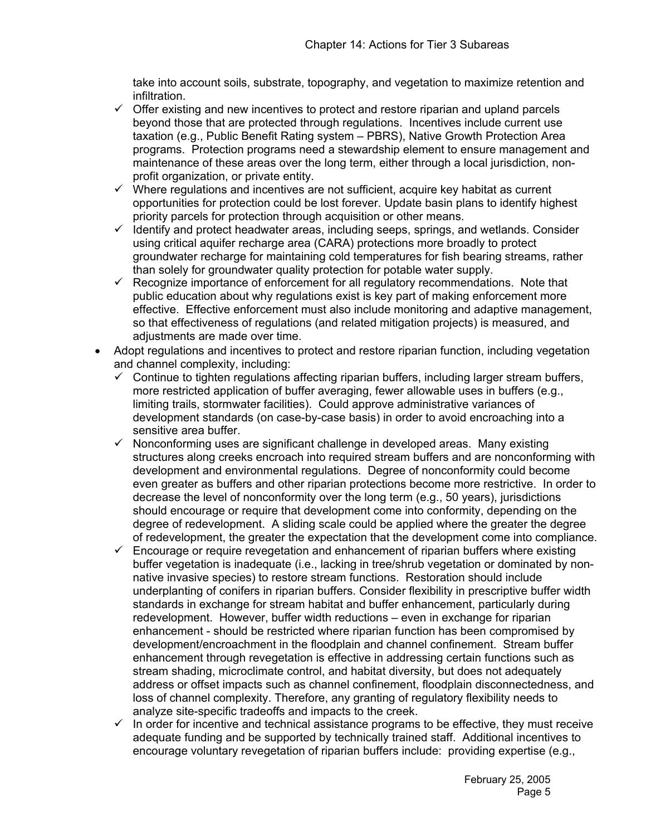take into account soils, substrate, topography, and vegetation to maximize retention and infiltration.

- $\checkmark$  Offer existing and new incentives to protect and restore riparian and upland parcels beyond those that are protected through regulations. Incentives include current use taxation (e.g., Public Benefit Rating system – PBRS), Native Growth Protection Area programs. Protection programs need a stewardship element to ensure management and maintenance of these areas over the long term, either through a local jurisdiction, nonprofit organization, or private entity.
- $\checkmark$  Where regulations and incentives are not sufficient, acquire key habitat as current opportunities for protection could be lost forever. Update basin plans to identify highest priority parcels for protection through acquisition or other means.
- $\checkmark$  Identify and protect headwater areas, including seeps, springs, and wetlands. Consider using critical aquifer recharge area (CARA) protections more broadly to protect groundwater recharge for maintaining cold temperatures for fish bearing streams, rather than solely for groundwater quality protection for potable water supply.
- $\checkmark$  Recognize importance of enforcement for all regulatory recommendations. Note that public education about why regulations exist is key part of making enforcement more effective. Effective enforcement must also include monitoring and adaptive management, so that effectiveness of regulations (and related mitigation projects) is measured, and adjustments are made over time.
- Adopt regulations and incentives to protect and restore riparian function, including vegetation and channel complexity, including:
	- $\checkmark$  Continue to tighten regulations affecting riparian buffers, including larger stream buffers, more restricted application of buffer averaging, fewer allowable uses in buffers (e.g., limiting trails, stormwater facilities). Could approve administrative variances of development standards (on case-by-case basis) in order to avoid encroaching into a sensitive area buffer.
	- 9 Nonconforming uses are significant challenge in developed areas.Many existing structures along creeks encroach into required stream buffers and are nonconforming with development and environmental regulations. Degree of nonconformity could become even greater as buffers and other riparian protections become more restrictive. In order to decrease the level of nonconformity over the long term (e.g., 50 years), jurisdictions should encourage or require that development come into conformity, depending on the degree of redevelopment. A sliding scale could be applied where the greater the degree of redevelopment, the greater the expectation that the development come into compliance.
	- $\checkmark$  Encourage or require revegetation and enhancement of riparian buffers where existing buffer vegetation is inadequate (i.e., lacking in tree/shrub vegetation or dominated by nonnative invasive species) to restore stream functions. Restoration should include underplanting of conifers in riparian buffers. Consider flexibility in prescriptive buffer width standards in exchange for stream habitat and buffer enhancement, particularly during redevelopment. However, buffer width reductions – even in exchange for riparian enhancement - should be restricted where riparian function has been compromised by development/encroachment in the floodplain and channel confinement. Stream buffer enhancement through revegetation is effective in addressing certain functions such as stream shading, microclimate control, and habitat diversity, but does not adequately address or offset impacts such as channel confinement, floodplain disconnectedness, and loss of channel complexity. Therefore, any granting of regulatory flexibility needs to analyze site-specific tradeoffs and impacts to the creek.
	- $\checkmark$  In order for incentive and technical assistance programs to be effective, they must receive adequate funding and be supported by technically trained staff. Additional incentives to encourage voluntary revegetation of riparian buffers include: providing expertise (e.g.,